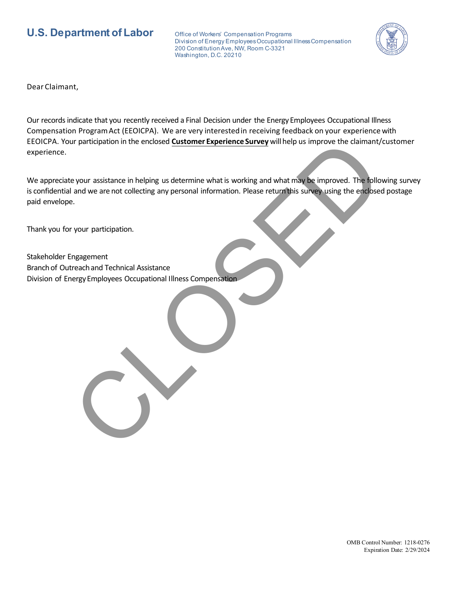## **U.S. Department of Labor** Office of Workers' Compensation Programs

Division of Energy Employees Occupational Illness Compensation 200 Constitution Ave, NW, Room C-3321 Washington, D.C. 20210



Dear Claimant,

Our records indicate that you recently received a Final Decision under the EnergyEmployees Occupational Illness Compensation ProgramAct (EEOICPA). We are very interestedin receiving feedback on your experience with EEOICPA. Your participation in the enclosed **Customer Experience Survey** willhelp us improve the claimant/customer experience.

We appreciate your assistance in helping us determine what is working and what may be improved. The following survey is confidential and we are not collecting any personal information. Please return this survey using the enclosed postage paid envelope. In participation in the enclosed <u>Customer Experience Survey</u> will help us improve the claimant/<br>
e your assistance in helping us determine what is working and what may be improved. The following<br>
and we are not collecting

Thank you for your participation.

Stakeholder Engagement Branch of Outreach and Technical Assistance Division of Energy Employees Occupational Illness Compensation